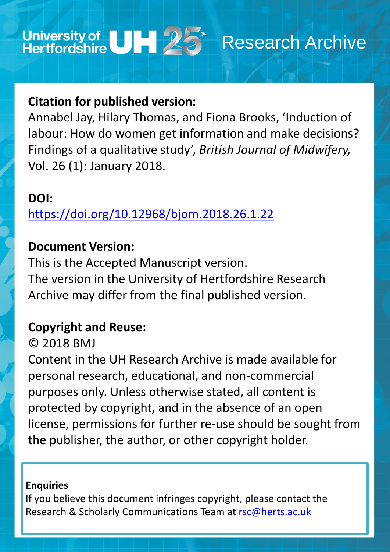

# **Citation for published version:**

Annabel Jay, Hilary Thomas, and Fiona Brooks, 'Induction of labour: How do women get information and make decisions? Findings of a qualitative study', *British Journal of Midwifery,* Vol. 26 (1): January 2018.

# **DOI:**

<https://doi.org/10.12968/bjom.2018.26.1.22>

# **Document Version:**

This is the Accepted Manuscript version. The version in the University of Hertfordshire Research Archive may differ from the final published version.

## **Copyright and Reuse:**

© 2018 BMJ

Content in the UH Research Archive is made available for personal research, educational, and non-commercial purposes only. Unless otherwise stated, all content is protected by copyright, and in the absence of an open

license, permissions for further re-use should be sought from the publisher, the author, or other copyright holder.

## **Enquiries**

## If you believe this document infringes copyright, please contact the Research & Scholarly Communications Team at [rsc@herts.ac.uk](mailto:rsc@herts.ac.uk)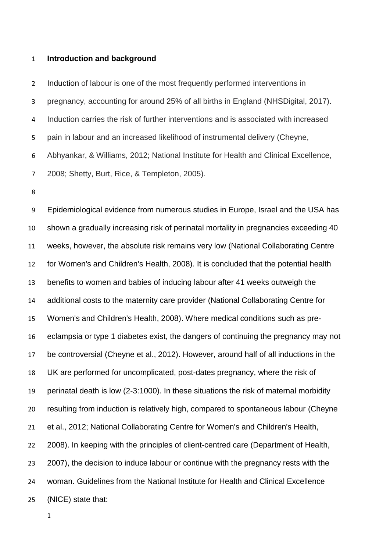### **Introduction and background**

 Induction of labour is one of the most frequently performed interventions in pregnancy, accounting for around 25% of all births in England (NHSDigital, 2017). Induction carries the risk of further interventions and is associated with increased pain in labour and an increased likelihood of instrumental delivery (Cheyne, Abhyankar, & Williams, 2012; National Institute for Health and Clinical Excellence, 2008; Shetty, Burt, Rice, & Templeton, 2005).

 Epidemiological evidence from numerous studies in Europe, Israel and the USA has shown a gradually increasing risk of perinatal mortality in pregnancies exceeding 40 weeks, however, the absolute risk remains very low (National Collaborating Centre for Women's and Children's Health, 2008). It is concluded that the potential health benefits to women and babies of inducing labour after 41 weeks outweigh the additional costs to the maternity care provider (National Collaborating Centre for Women's and Children's Health, 2008). Where medical conditions such as pre- eclampsia or type 1 diabetes exist, the dangers of continuing the pregnancy may not be controversial (Cheyne et al., 2012). However, around half of all inductions in the UK are performed for uncomplicated, post-dates pregnancy, where the risk of perinatal death is low (2-3:1000). In these situations the risk of maternal morbidity resulting from induction is relatively high, compared to spontaneous labour (Cheyne et al., 2012; National Collaborating Centre for Women's and Children's Health, 22 2008). In keeping with the principles of client-centred care (Department of Health, 23 2007), the decision to induce labour or continue with the pregnancy rests with the woman. Guidelines from the National Institute for Health and Clinical Excellence (NICE) state that: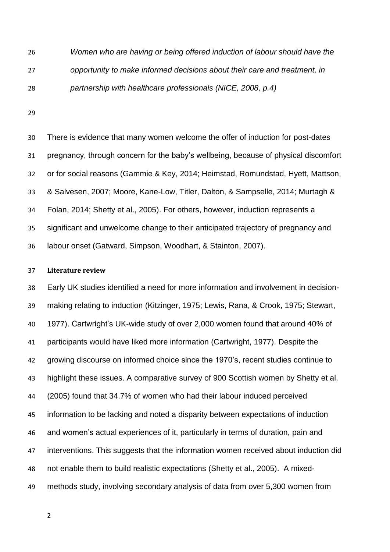*Women who are having or being offered induction of labour should have the opportunity to make informed decisions about their care and treatment, in partnership with healthcare professionals (NICE, 2008, p.4)*

 There is evidence that many women welcome the offer of induction for post-dates pregnancy, through concern for the baby's wellbeing, because of physical discomfort or for social reasons (Gammie & Key, 2014; Heimstad, Romundstad, Hyett, Mattson, & Salvesen, 2007; Moore, Kane-Low, Titler, Dalton, & Sampselle, 2014; Murtagh & Folan, 2014; Shetty et al., 2005). For others, however, induction represents a significant and unwelcome change to their anticipated trajectory of pregnancy and labour onset (Gatward, Simpson, Woodhart, & Stainton, 2007).

### **Literature review**

 Early UK studies identified a need for more information and involvement in decision- making relating to induction (Kitzinger, 1975; Lewis, Rana, & Crook, 1975; Stewart, 1977). Cartwright's UK-wide study of over 2,000 women found that around 40% of participants would have liked more information (Cartwright, 1977). Despite the growing discourse on informed choice since the 1970's, recent studies continue to highlight these issues. A comparative survey of 900 Scottish women by Shetty et al. (2005) found that 34.7% of women who had their labour induced perceived information to be lacking and noted a disparity between expectations of induction and women's actual experiences of it, particularly in terms of duration, pain and interventions. This suggests that the information women received about induction did not enable them to build realistic expectations (Shetty et al., 2005). A mixed-methods study, involving secondary analysis of data from over 5,300 women from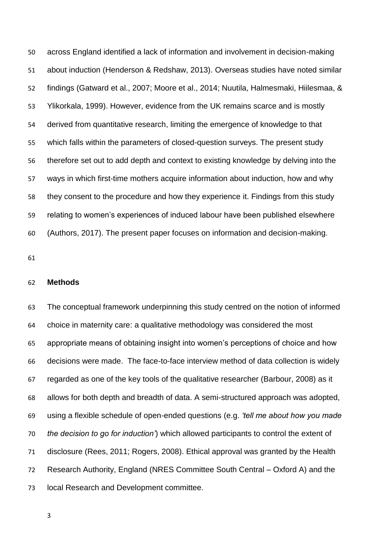across England identified a lack of information and involvement in decision-making about induction (Henderson & Redshaw, 2013). Overseas studies have noted similar findings (Gatward et al., 2007; Moore et al., 2014; Nuutila, Halmesmaki, Hiilesmaa, & Ylikorkala, 1999). However, evidence from the UK remains scarce and is mostly derived from quantitative research, limiting the emergence of knowledge to that which falls within the parameters of closed-question surveys. The present study therefore set out to add depth and context to existing knowledge by delving into the ways in which first-time mothers acquire information about induction, how and why they consent to the procedure and how they experience it. Findings from this study relating to women's experiences of induced labour have been published elsewhere (Authors, 2017). The present paper focuses on information and decision-making.

## **Methods**

 The conceptual framework underpinning this study centred on the notion of informed choice in maternity care: a qualitative methodology was considered the most appropriate means of obtaining insight into women's perceptions of choice and how decisions were made. The face-to-face interview method of data collection is widely regarded as one of the key tools of the qualitative researcher (Barbour, 2008) as it allows for both depth and breadth of data. A semi-structured approach was adopted, using a flexible schedule of open-ended questions (e.g. *'tell me about how you made the decision to go for induction'*) which allowed participants to control the extent of disclosure (Rees, 2011; Rogers, 2008). Ethical approval was granted by the Health Research Authority, England (NRES Committee South Central – Oxford A) and the local Research and Development committee.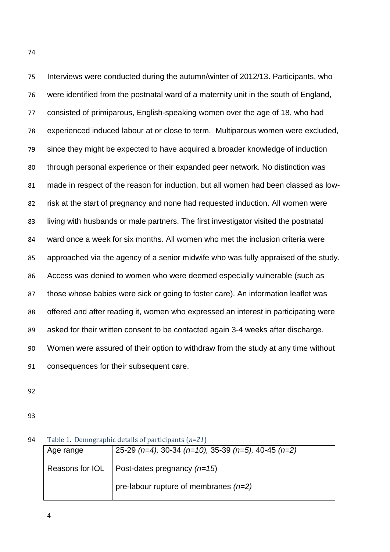Interviews were conducted during the autumn/winter of 2012/13. Participants, who were identified from the postnatal ward of a maternity unit in the south of England, consisted of primiparous, English-speaking women over the age of 18, who had experienced induced labour at or close to term. Multiparous women were excluded, since they might be expected to have acquired a broader knowledge of induction through personal experience or their expanded peer network. No distinction was made in respect of the reason for induction, but all women had been classed as low- risk at the start of pregnancy and none had requested induction. All women were living with husbands or male partners. The first investigator visited the postnatal ward once a week for six months. All women who met the inclusion criteria were approached via the agency of a senior midwife who was fully appraised of the study. Access was denied to women who were deemed especially vulnerable (such as those whose babies were sick or going to foster care). An information leaflet was offered and after reading it, women who expressed an interest in participating were asked for their written consent to be contacted again 3-4 weeks after discharge. Women were assured of their option to withdraw from the study at any time without consequences for their subsequent care.

- 
- 

| Age range       | 25-29 $(n=4)$ , 30-34 $(n=10)$ , 35-39 $(n=5)$ , 40-45 $(n=2)$ |
|-----------------|----------------------------------------------------------------|
| Reasons for IOL | Post-dates pregnancy $(n=15)$                                  |
|                 | pre-labour rupture of membranes $(n=2)$                        |

Table 1. Demographic details of participants (*n=21*)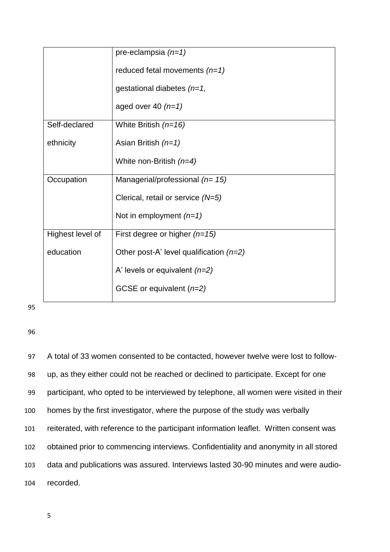|                  | pre-eclampsia $(n=1)$                     |
|------------------|-------------------------------------------|
|                  | reduced fetal movements $(n=1)$           |
|                  | gestational diabetes $(n=1,$              |
|                  | aged over 40 $(n=1)$                      |
| Self-declared    | White British $(n=16)$                    |
| ethnicity        | Asian British $(n=1)$                     |
|                  | White non-British $(n=4)$                 |
| Occupation       | Managerial/professional $(n=15)$          |
|                  | Clerical, retail or service $(N=5)$       |
|                  | Not in employment $(n=1)$                 |
| Highest level of | First degree or higher $(n=15)$           |
| education        | Other post-A' level qualification $(n=2)$ |
|                  | A' levels or equivalent $(n=2)$           |
|                  | GCSE or equivalent $(n=2)$                |

96

 A total of 33 women consented to be contacted, however twelve were lost to follow- up, as they either could not be reached or declined to participate. Except for one participant, who opted to be interviewed by telephone, all women were visited in their homes by the first investigator, where the purpose of the study was verbally reiterated, with reference to the participant information leaflet. Written consent was obtained prior to commencing interviews. Confidentiality and anonymity in all stored data and publications was assured. Interviews lasted 30-90 minutes and were audio-104 recorded.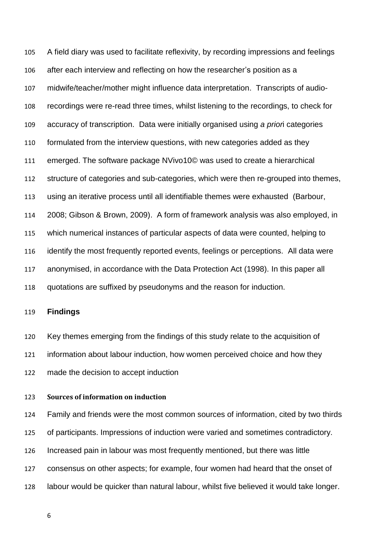A field diary was used to facilitate reflexivity, by recording impressions and feelings after each interview and reflecting on how the researcher's position as a midwife/teacher/mother might influence data interpretation. Transcripts of audio- recordings were re-read three times, whilst listening to the recordings, to check for accuracy of transcription. Data were initially organised using *a prior*i categories formulated from the interview questions, with new categories added as they emerged. The software package NVivo10© was used to create a hierarchical structure of categories and sub-categories, which were then re-grouped into themes, using an iterative process until all identifiable themes were exhausted (Barbour, 2008; Gibson & Brown, 2009). A form of framework analysis was also employed, in which numerical instances of particular aspects of data were counted, helping to identify the most frequently reported events, feelings or perceptions. All data were anonymised, in accordance with the Data Protection Act (1998). In this paper all quotations are suffixed by pseudonyms and the reason for induction.

## **Findings**

 Key themes emerging from the findings of this study relate to the acquisition of information about labour induction, how women perceived choice and how they made the decision to accept induction

### **Sources of information on induction**

 Family and friends were the most common sources of information, cited by two thirds of participants. Impressions of induction were varied and sometimes contradictory. Increased pain in labour was most frequently mentioned, but there was little consensus on other aspects; for example, four women had heard that the onset of labour would be quicker than natural labour, whilst five believed it would take longer.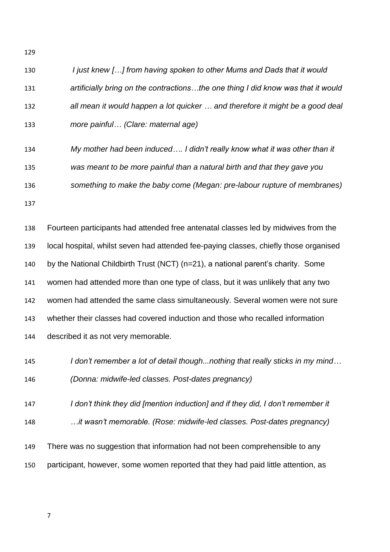| 130 | I just knew [] from having spoken to other Mums and Dads that it would             |
|-----|------------------------------------------------------------------------------------|
| 131 | artificially bring on the contractionsthe one thing I did know was that it would   |
| 132 | all mean it would happen a lot quicker  and therefore it might be a good deal      |
| 133 | more painful (Clare: maternal age)                                                 |
| 134 | My mother had been induced I didn't really know what it was other than it          |
| 135 | was meant to be more painful than a natural birth and that they gave you           |
| 136 | something to make the baby come (Megan: pre-labour rupture of membranes)           |
| 137 |                                                                                    |
| 138 | Fourteen participants had attended free antenatal classes led by midwives from the |

 local hospital, whilst seven had attended fee-paying classes, chiefly those organised by the National Childbirth Trust (NCT) (n=21), a national parent's charity. Some women had attended more than one type of class, but it was unlikely that any two women had attended the same class simultaneously. Several women were not sure whether their classes had covered induction and those who recalled information described it as not very memorable.

- *I don't remember a lot of detail though...nothing that really sticks in my mind… (Donna: midwife-led classes. Post-dates pregnancy)*
- *I don't think they did [mention induction] and if they did, I don't remember it*
- *…it wasn't memorable. (Rose: midwife-led classes. Post-dates pregnancy)*
- There was no suggestion that information had not been comprehensible to any participant, however, some women reported that they had paid little attention, as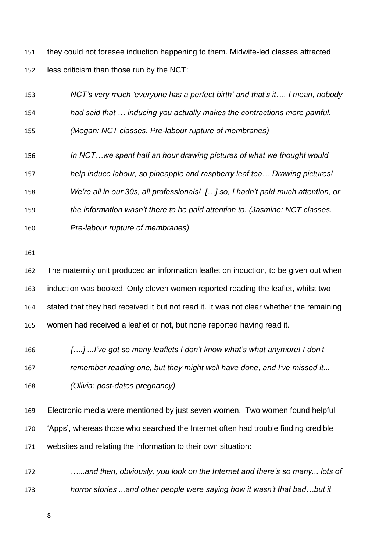they could not foresee induction happening to them. Midwife-led classes attracted less criticism than those run by the NCT:



*(Olivia: post-dates pregnancy)*

 Electronic media were mentioned by just seven women. Two women found helpful 'Apps', whereas those who searched the Internet often had trouble finding credible websites and relating the information to their own situation:

 *…...and then, obviously, you look on the Internet and there's so many... lots of horror stories ...and other people were saying how it wasn't that bad…but it*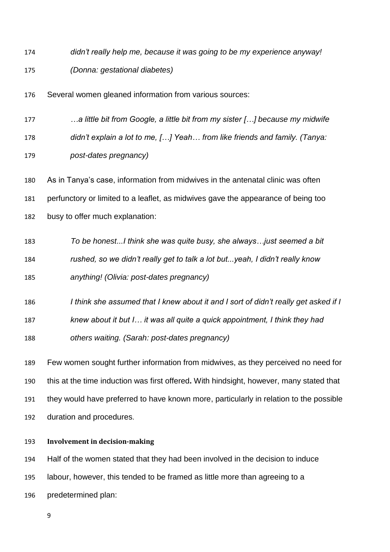*didn't really help me, because it was going to be my experience anyway! (Donna: gestational diabetes)*

Several women gleaned information from various sources:

*…a little bit from Google, a little bit from my sister […] because my midwife* 

 *didn't explain a lot to me, […] Yeah… from like friends and family. (Tanya: post-dates pregnancy)*

 As in Tanya's case, information from midwives in the antenatal clinic was often perfunctory or limited to a leaflet, as midwives gave the appearance of being too

busy to offer much explanation:

 *To be honest...I think she was quite busy, she always…just seemed a bit rushed, so we didn't really get to talk a lot but...yeah, I didn't really know anything! (Olivia: post-dates pregnancy)*

*I think she assumed that I knew about it and I sort of didn't really get asked if I* 

*knew about it but I… it was all quite a quick appointment, I think they had* 

*others waiting. (Sarah: post-dates pregnancy)*

 Few women sought further information from midwives, as they perceived no need for this at the time induction was first offered**.** With hindsight, however, many stated that they would have preferred to have known more, particularly in relation to the possible duration and procedures.

## **Involvement in decision-making**

Half of the women stated that they had been involved in the decision to induce

labour, however, this tended to be framed as little more than agreeing to a

predetermined plan: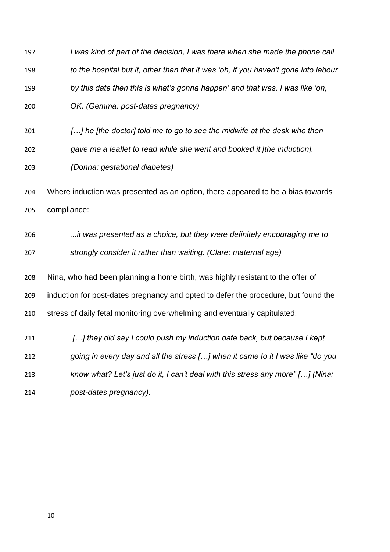*I was kind of part of the decision, I was there when she made the phone call to the hospital but it, other than that it was 'oh, if you haven't gone into labour by this date then this is what's gonna happen' and that was, I was like 'oh, OK. (Gemma: post-dates pregnancy) […] he [the doctor] told me to go to see the midwife at the desk who then gave me a leaflet to read while she went and booked it [the induction]. (Donna: gestational diabetes)* Where induction was presented as an option, there appeared to be a bias towards compliance: *...it was presented as a choice, but they were definitely encouraging me to strongly consider it rather than waiting. (Clare: maternal age)* Nina, who had been planning a home birth, was highly resistant to the offer of induction for post-dates pregnancy and opted to defer the procedure, but found the stress of daily fetal monitoring overwhelming and eventually capitulated: *[…] they did say I could push my induction date back, but because I kept going in every day and all the stress […] when it came to it I was like "do you know what? Let's just do it, I can't deal with this stress any more" […] (Nina: post-dates pregnancy).*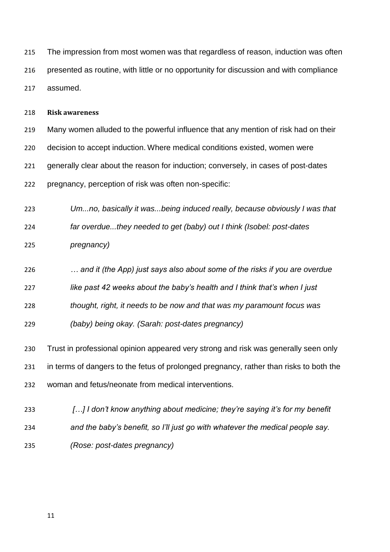The impression from most women was that regardless of reason, induction was often presented as routine, with little or no opportunity for discussion and with compliance assumed.

#### **Risk awareness**

 Many women alluded to the powerful influence that any mention of risk had on their decision to accept induction. Where medical conditions existed, women were generally clear about the reason for induction; conversely, in cases of post-dates pregnancy, perception of risk was often non-specific:

 *Um...no, basically it was...being induced really, because obviously I was that far overdue...they needed to get (baby) out I think (Isobel: post-dates pregnancy)*

*… and it (the App) just says also about some of the risks if you are overdue* 

*like past 42 weeks about the baby's health and I think that's when I just* 

*thought, right, it needs to be now and that was my paramount focus was* 

*(baby) being okay. (Sarah: post-dates pregnancy)*

 Trust in professional opinion appeared very strong and risk was generally seen only in terms of dangers to the fetus of prolonged pregnancy, rather than risks to both the woman and fetus/neonate from medical interventions.

 *[…] I don't know anything about medicine; they're saying it's for my benefit and the baby's benefit, so I'll just go with whatever the medical people say.* 

*(Rose: post-dates pregnancy)*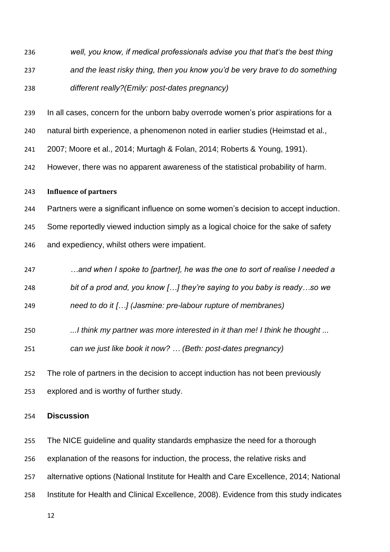- *well, you know, if medical professionals advise you that that's the best thing and the least risky thing, then you know you'd be very brave to do something different really?(Emily: post-dates pregnancy)*
- In all cases, concern for the unborn baby overrode women's prior aspirations for a
- natural birth experience, a phenomenon noted in earlier studies (Heimstad et al.,
- 2007; Moore et al., 2014; Murtagh & Folan, 2014; Roberts & Young, 1991).
- However, there was no apparent awareness of the statistical probability of harm.

### **Influence of partners**

 Partners were a significant influence on some women's decision to accept induction. Some reportedly viewed induction simply as a logical choice for the sake of safety and expediency, whilst others were impatient.

- *…and when I spoke to [partner], he was the one to sort of realise I needed a*
- *bit of a prod and, you know […] they're saying to you baby is ready…so we*

*need to do it […] (Jasmine: pre-labour rupture of membranes)*

- *...I think my partner was more interested in it than me! I think he thought ...*
- *can we just like book it now? … (Beth: post-dates pregnancy)*
- The role of partners in the decision to accept induction has not been previously explored and is worthy of further study.

## **Discussion**

- The NICE guideline and quality standards emphasize the need for a thorough
- explanation of the reasons for induction, the process, the relative risks and
- alternative options (National Institute for Health and Care Excellence, 2014; National
- Institute for Health and Clinical Excellence, 2008). Evidence from this study indicates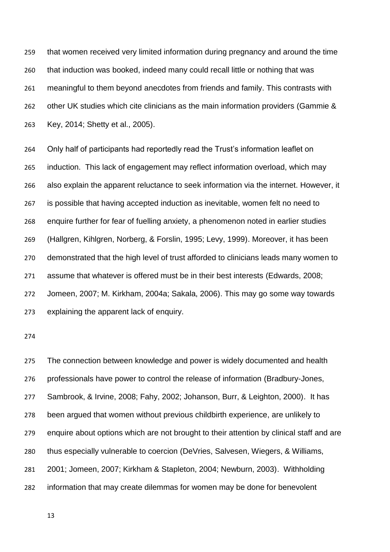that women received very limited information during pregnancy and around the time that induction was booked, indeed many could recall little or nothing that was meaningful to them beyond anecdotes from friends and family. This contrasts with 262 other UK studies which cite clinicians as the main information providers (Gammie & Key, 2014; Shetty et al., 2005).

 Only half of participants had reportedly read the Trust's information leaflet on induction. This lack of engagement may reflect information overload, which may also explain the apparent reluctance to seek information via the internet. However, it is possible that having accepted induction as inevitable, women felt no need to enquire further for fear of fuelling anxiety, a phenomenon noted in earlier studies (Hallgren, Kihlgren, Norberg, & Forslin, 1995; Levy, 1999). Moreover, it has been demonstrated that the high level of trust afforded to clinicians leads many women to assume that whatever is offered must be in their best interests (Edwards, 2008; Jomeen, 2007; M. Kirkham, 2004a; Sakala, 2006). This may go some way towards explaining the apparent lack of enquiry.

 The connection between knowledge and power is widely documented and health professionals have power to control the release of information (Bradbury-Jones, Sambrook, & Irvine, 2008; Fahy, 2002; Johanson, Burr, & Leighton, 2000). It has been argued that women without previous childbirth experience, are unlikely to enquire about options which are not brought to their attention by clinical staff and are thus especially vulnerable to coercion (DeVries, Salvesen, Wiegers, & Williams, 2001; Jomeen, 2007; Kirkham & Stapleton, 2004; Newburn, 2003). Withholding information that may create dilemmas for women may be done for benevolent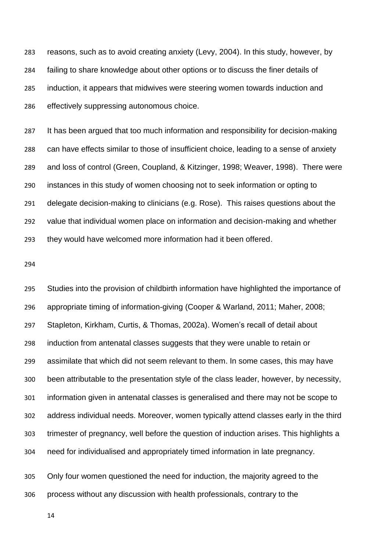reasons, such as to avoid creating anxiety (Levy, 2004). In this study, however, by failing to share knowledge about other options or to discuss the finer details of induction, it appears that midwives were steering women towards induction and effectively suppressing autonomous choice.

 It has been argued that too much information and responsibility for decision-making can have effects similar to those of insufficient choice, leading to a sense of anxiety and loss of control (Green, Coupland, & Kitzinger, 1998; Weaver, 1998). There were instances in this study of women choosing not to seek information or opting to delegate decision-making to clinicians (e.g. Rose). This raises questions about the value that individual women place on information and decision-making and whether they would have welcomed more information had it been offered.

 Studies into the provision of childbirth information have highlighted the importance of appropriate timing of information-giving (Cooper & Warland, 2011; Maher, 2008; Stapleton, Kirkham, Curtis, & Thomas, 2002a). Women's recall of detail about induction from antenatal classes suggests that they were unable to retain or assimilate that which did not seem relevant to them. In some cases, this may have been attributable to the presentation style of the class leader, however, by necessity, information given in antenatal classes is generalised and there may not be scope to address individual needs. Moreover, women typically attend classes early in the third trimester of pregnancy, well before the question of induction arises. This highlights a need for individualised and appropriately timed information in late pregnancy.

 Only four women questioned the need for induction, the majority agreed to the process without any discussion with health professionals, contrary to the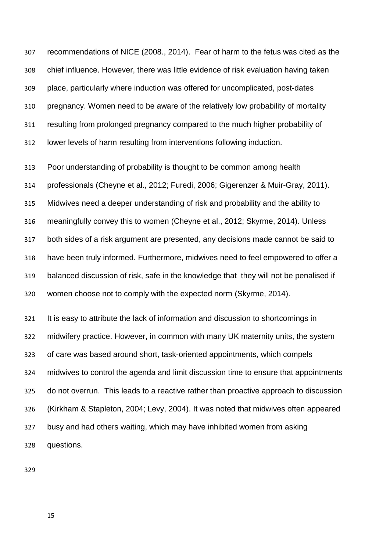recommendations of NICE (2008., 2014). Fear of harm to the fetus was cited as the chief influence. However, there was little evidence of risk evaluation having taken place, particularly where induction was offered for uncomplicated, post-dates pregnancy. Women need to be aware of the relatively low probability of mortality resulting from prolonged pregnancy compared to the much higher probability of lower levels of harm resulting from interventions following induction.

 Poor understanding of probability is thought to be common among health professionals (Cheyne et al., 2012; Furedi, 2006; Gigerenzer & Muir-Gray, 2011). Midwives need a deeper understanding of risk and probability and the ability to meaningfully convey this to women (Cheyne et al., 2012; Skyrme, 2014). Unless both sides of a risk argument are presented, any decisions made cannot be said to have been truly informed. Furthermore, midwives need to feel empowered to offer a balanced discussion of risk, safe in the knowledge that they will not be penalised if women choose not to comply with the expected norm (Skyrme, 2014).

 It is easy to attribute the lack of information and discussion to shortcomings in midwifery practice. However, in common with many UK maternity units, the system of care was based around short, task-oriented appointments, which compels midwives to control the agenda and limit discussion time to ensure that appointments do not overrun. This leads to a reactive rather than proactive approach to discussion (Kirkham & Stapleton, 2004; Levy, 2004). It was noted that midwives often appeared busy and had others waiting, which may have inhibited women from asking questions.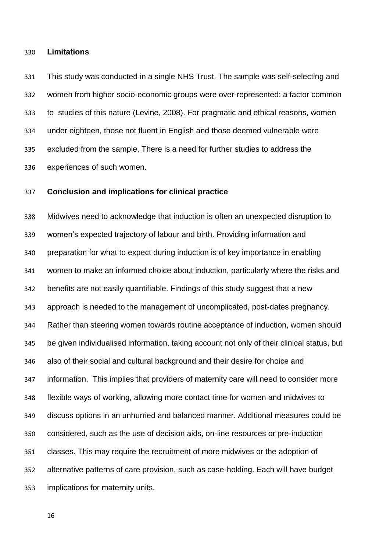### **Limitations**

 This study was conducted in a single NHS Trust. The sample was self-selecting and women from higher socio-economic groups were over-represented: a factor common to studies of this nature (Levine, 2008). For pragmatic and ethical reasons, women under eighteen, those not fluent in English and those deemed vulnerable were excluded from the sample. There is a need for further studies to address the experiences of such women.

## **Conclusion and implications for clinical practice**

 Midwives need to acknowledge that induction is often an unexpected disruption to women's expected trajectory of labour and birth. Providing information and preparation for what to expect during induction is of key importance in enabling women to make an informed choice about induction, particularly where the risks and benefits are not easily quantifiable. Findings of this study suggest that a new approach is needed to the management of uncomplicated, post-dates pregnancy. Rather than steering women towards routine acceptance of induction, women should be given individualised information, taking account not only of their clinical status, but also of their social and cultural background and their desire for choice and information. This implies that providers of maternity care will need to consider more flexible ways of working, allowing more contact time for women and midwives to discuss options in an unhurried and balanced manner. Additional measures could be considered, such as the use of decision aids, on-line resources or pre-induction classes. This may require the recruitment of more midwives or the adoption of alternative patterns of care provision, such as case-holding. Each will have budget implications for maternity units.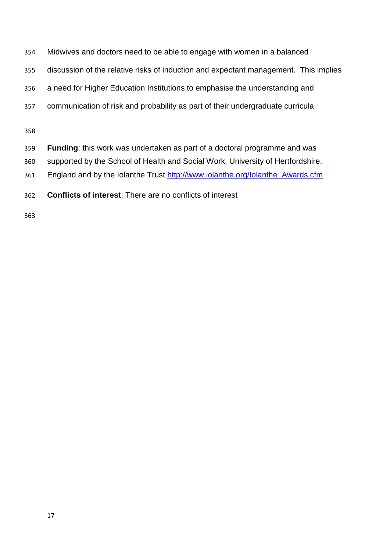- Midwives and doctors need to be able to engage with women in a balanced
- discussion of the relative risks of induction and expectant management. This implies
- a need for Higher Education Institutions to emphasise the understanding and
- communication of risk and probability as part of their undergraduate curricula.

- **Funding**: this work was undertaken as part of a doctoral programme and was
- supported by the School of Health and Social Work, University of Hertfordshire,
- 361 England and by the Iolanthe Trust [http://www.iolanthe.org/Iolanthe\\_Awards.cfm](http://www.iolanthe.org/Iolanthe_Awards.cfm)
- **Conflicts of interest**: There are no conflicts of interest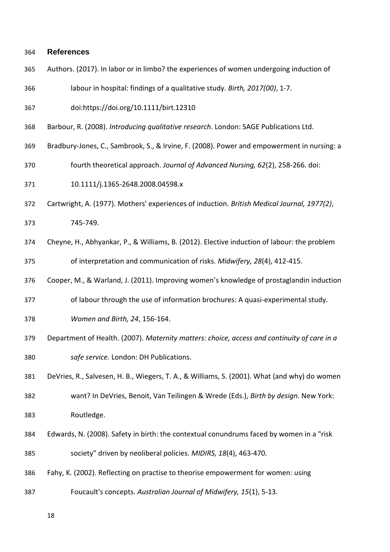#### **References**

- Authors. (2017). In labor or in limbo? the experiences of women undergoing induction of
- labour in hospital: findings of a qualitative study. *Birth, 2017(00)*, 1-7.
- doi:https://doi.org/10.1111/birt.12310
- Barbour, R. (2008). *Introducing qualitative research*. London: SAGE Publications Ltd.
- Bradbury-Jones, C., Sambrook, S., & Irvine, F. (2008). Power and empowerment in nursing: a
- fourth theoretical approach. *Journal of Advanced Nursing, 62*(2), 258-266. doi:
- 10.1111/j.1365-2648.2008.04598.x
- Cartwright, A. (1977). Mothers' experiences of induction. *British Medical Journal, 1977(2)*,
- 745-749.
- Cheyne, H., Abhyankar, P., & Williams, B. (2012). Elective induction of labour: the problem of interpretation and communication of risks. *Midwifery, 28*(4), 412-415.
- Cooper, M., & Warland, J. (2011). Improving women's knowledge of prostaglandin induction
- of labour through the use of information brochures: A quasi-experimental study.
- *Women and Birth, 24*, 156-164.
- Department of Health. (2007). *Maternity matters: choice, access and continuity of care in a safe service.* London: DH Publications.
- DeVries, R., Salvesen, H. B., Wiegers, T. A., & Williams, S. (2001). What (and why) do women
- want? In DeVries, Benoit, Van Teilingen & Wrede (Eds.), *Birth by design*. New York: Routledge.
- Edwards, N. (2008). Safety in birth: the contextual conundrums faced by women in a "risk society" driven by neoliberal policies. *MIDIRS, 18*(4), 463-470.
- Fahy, K. (2002). Reflecting on practise to theorise empowerment for women: using
- Foucault's concepts. *Australian Journal of Midwifery, 15*(1), 5-13.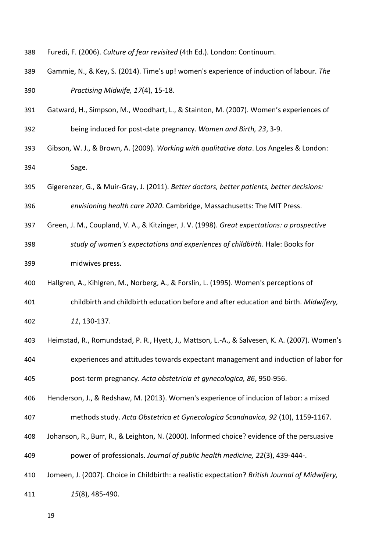- Furedi, F. (2006). *Culture of fear revisited* (4th Ed.). London: Continuum.
- Gammie, N., & Key, S. (2014). Time's up! women's experience of induction of labour. *The Practising Midwife, 17*(4), 15-18.
- Gatward, H., Simpson, M., Woodhart, L., & Stainton, M. (2007). Women's experiences of being induced for post-date pregnancy. *Women and Birth, 23*, 3-9.
- Gibson, W. J., & Brown, A. (2009). *Working with qualitative data*. Los Angeles & London: Sage.
- Gigerenzer, G., & Muir-Gray, J. (2011). *Better doctors, better patients, better decisions: envisioning health care 2020*. Cambridge, Massachusetts: The MIT Press.
- Green, J. M., Coupland, V. A., & Kitzinger, J. V. (1998). *Great expectations: a prospective*
- *study of women's expectations and experiences of childbirth*. Hale: Books for midwives press.
- Hallgren, A., Kihlgren, M., Norberg, A., & Forslin, L. (1995). Women's perceptions of
- childbirth and childbirth education before and after education and birth. *Midwifery,*
- *11*, 130-137.
- Heimstad, R., Romundstad, P. R., Hyett, J., Mattson, L.-A., & Salvesen, K. A. (2007). Women's experiences and attitudes towards expectant management and induction of labor for post-term pregnancy. *Acta obstetricia et gynecologica, 86*, 950-956.
- Henderson, J., & Redshaw, M. (2013). Women's experience of inducion of labor: a mixed
- methods study. *Acta Obstetrica et Gynecologica Scandnavica, 92* (10), 1159-1167.
- Johanson, R., Burr, R., & Leighton, N. (2000). Informed choice? evidence of the persuasive power of professionals. *Journal of public health medicine, 22*(3), 439-444-.
- Jomeen, J. (2007). Choice in Childbirth: a realistic expectation? *British Journal of Midwifery,*

*15*(8), 485-490.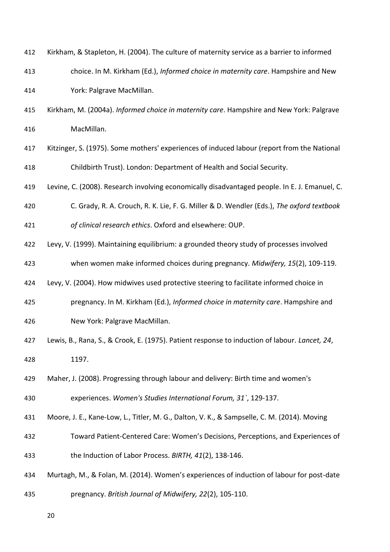| 412 | Kirkham, & Stapleton, H. (2004). The culture of maternity service as a barrier to informed    |
|-----|-----------------------------------------------------------------------------------------------|
| 413 | choice. In M. Kirkham (Ed.), Informed choice in maternity care. Hampshire and New             |
| 414 | York: Palgrave MacMillan.                                                                     |
| 415 | Kirkham, M. (2004a). Informed choice in maternity care. Hampshire and New York: Palgrave      |
| 416 | MacMillan.                                                                                    |
| 417 | Kitzinger, S. (1975). Some mothers' experiences of induced labour (report from the National   |
| 418 | Childbirth Trust). London: Department of Health and Social Security.                          |
| 419 | Levine, C. (2008). Research involving economically disadvantaged people. In E. J. Emanuel, C. |
| 420 | C. Grady, R. A. Crouch, R. K. Lie, F. G. Miller & D. Wendler (Eds.), The oxford textbook      |
| 421 | of clinical research ethics. Oxford and elsewhere: OUP.                                       |
| 422 | Levy, V. (1999). Maintaining equilibrium: a grounded theory study of processes involved       |
| 423 | when women make informed choices during pregnancy. Midwifery, 15(2), 109-119.                 |
| 424 | Levy, V. (2004). How midwives used protective steering to facilitate informed choice in       |
| 425 | pregnancy. In M. Kirkham (Ed.), Informed choice in maternity care. Hampshire and              |
| 426 | New York: Palgrave MacMillan.                                                                 |
| 427 | Lewis, B., Rana, S., & Crook, E. (1975). Patient response to induction of labour. Lancet, 24, |
| 428 | 1197.                                                                                         |
| 429 | Maher, J. (2008). Progressing through labour and delivery: Birth time and women's             |
| 430 | experiences. Women's Studies International Forum, 31`, 129-137.                               |
| 431 | Moore, J. E., Kane-Low, L., Titler, M. G., Dalton, V. K., & Sampselle, C. M. (2014). Moving   |
| 432 | Toward Patient-Centered Care: Women's Decisions, Perceptions, and Experiences of              |
| 433 | the Induction of Labor Process. BIRTH, 41(2), 138-146.                                        |
| 434 | Murtagh, M., & Folan, M. (2014). Women's experiences of induction of labour for post-date     |
| 435 | pregnancy. British Journal of Midwifery, 22(2), 105-110.                                      |
|     |                                                                                               |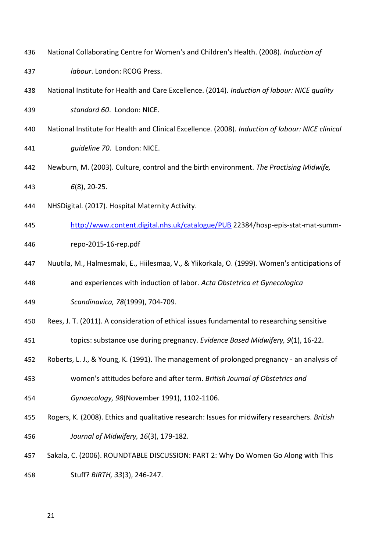- National Collaborating Centre for Women's and Children's Health. (2008). *Induction of*
- *labour*. London: RCOG Press.
- National Institute for Health and Care Excellence. (2014). *Induction of labour: NICE quality standard 60*. London: NICE.
- National Institute for Health and Clinical Excellence. (2008). *Induction of labour: NICE clinical*
- *guideline 70*. London: NICE.
- Newburn, M. (2003). Culture, control and the birth environment. *The Practising Midwife, 6*(8), 20-25.
- NHSDigital. (2017). Hospital Maternity Activity.
- <http://www.content.digital.nhs.uk/catalogue/PUB> 22384/hosp-epis-stat-mat-summ-
- repo-2015-16-rep.pdf
- Nuutila, M., Halmesmaki, E., Hiilesmaa, V., & Ylikorkala, O. (1999). Women's anticipations of
- and experiences with induction of labor. *Acta Obstetrica et Gynecologica*
- *Scandinavica, 78*(1999), 704-709.
- Rees, J. T. (2011). A consideration of ethical issues fundamental to researching sensitive
- topics: substance use during pregnancy. *Evidence Based Midwifery, 9*(1), 16-22.
- Roberts, L. J., & Young, K. (1991). The management of prolonged pregnancy an analysis of
- women's attitudes before and after term. *British Journal of Obstetrics and*
- *Gynaecology, 98*(November 1991), 1102-1106.
- Rogers, K. (2008). Ethics and qualitative research: Issues for midwifery researchers. *British Journal of Midwifery, 16*(3), 179-182.
- Sakala, C. (2006). ROUNDTABLE DISCUSSION: PART 2: Why Do Women Go Along with This
- Stuff? *BIRTH, 33*(3), 246-247.